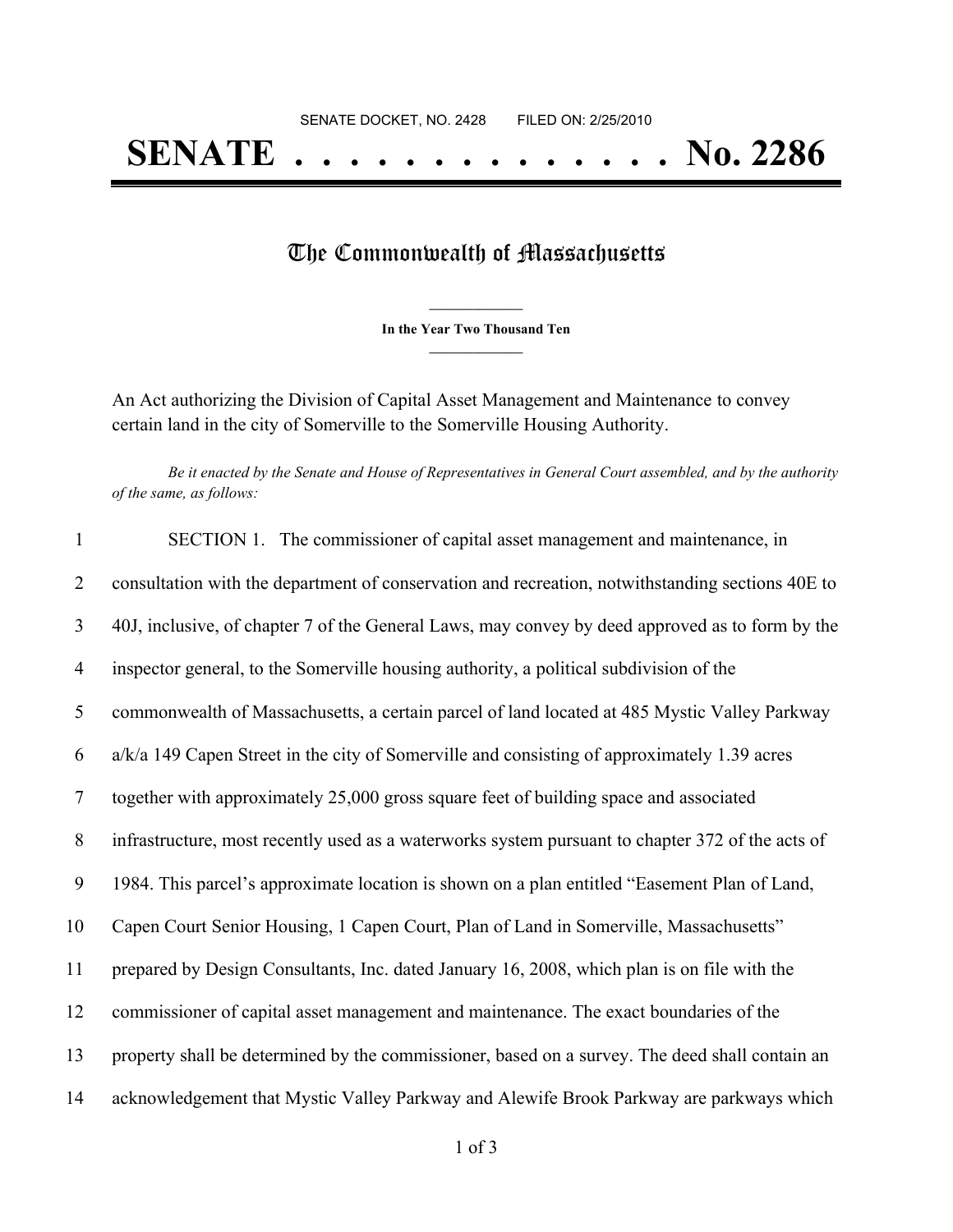## The Commonwealth of Massachusetts

**\_\_\_\_\_\_\_\_\_\_\_\_\_\_\_ In the Year Two Thousand Ten \_\_\_\_\_\_\_\_\_\_\_\_\_\_\_**

An Act authorizing the Division of Capital Asset Management and Maintenance to convey certain land in the city of Somerville to the Somerville Housing Authority.

Be it enacted by the Senate and House of Representatives in General Court assembled, and by the authority *of the same, as follows:*

| $\mathbf{1}$   | SECTION 1. The commissioner of capital asset management and maintenance, in                      |
|----------------|--------------------------------------------------------------------------------------------------|
| 2              | consultation with the department of conservation and recreation, notwithstanding sections 40E to |
| $\mathfrak{Z}$ | 40J, inclusive, of chapter 7 of the General Laws, may convey by deed approved as to form by the  |
| $\overline{4}$ | inspector general, to the Somerville housing authority, a political subdivision of the           |
| 5              | commonwealth of Massachusetts, a certain parcel of land located at 485 Mystic Valley Parkway     |
| 6              | $a/k/a$ 149 Capen Street in the city of Somerville and consisting of approximately 1.39 acres    |
| $\tau$         | together with approximately 25,000 gross square feet of building space and associated            |
| 8              | infrastructure, most recently used as a waterworks system pursuant to chapter 372 of the acts of |
| 9              | 1984. This parcel's approximate location is shown on a plan entitled "Easement Plan of Land,     |
| 10             | Capen Court Senior Housing, 1 Capen Court, Plan of Land in Somerville, Massachusetts"            |
| 11             | prepared by Design Consultants, Inc. dated January 16, 2008, which plan is on file with the      |
| 12             | commissioner of capital asset management and maintenance. The exact boundaries of the            |
| 13             | property shall be determined by the commissioner, based on a survey. The deed shall contain an   |
| 14             | acknowledgement that Mystic Valley Parkway and Alewife Brook Parkway are parkways which          |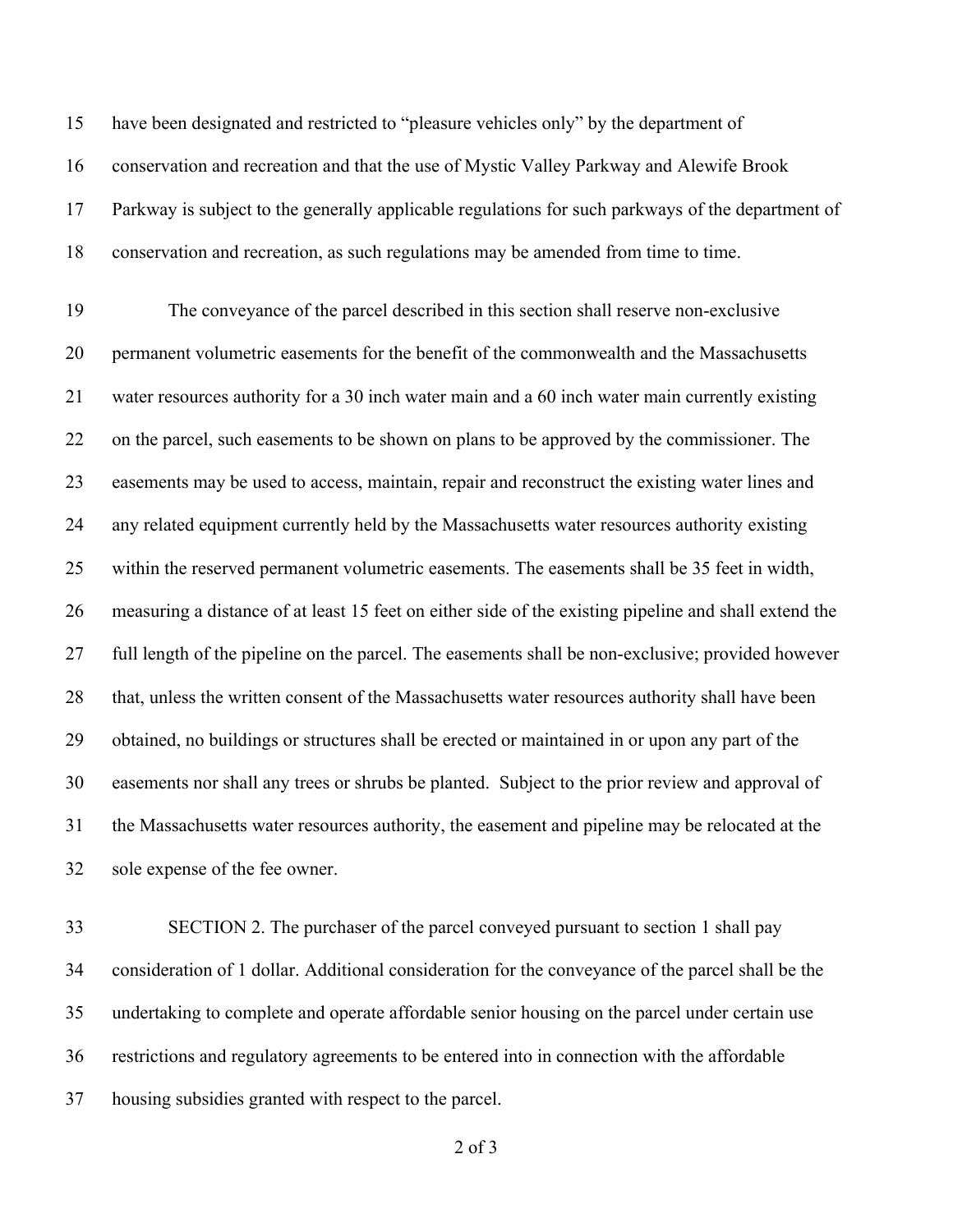have been designated and restricted to "pleasure vehicles only" by the department of conservation and recreation and that the use of Mystic Valley Parkway and Alewife Brook Parkway is subject to the generally applicable regulations for such parkways of the department of conservation and recreation, as such regulations may be amended from time to time.

 The conveyance of the parcel described in this section shall reserve non-exclusive permanent volumetric easements for the benefit of the commonwealth and the Massachusetts water resources authority for a 30 inch water main and a 60 inch water main currently existing on the parcel, such easements to be shown on plans to be approved by the commissioner. The easements may be used to access, maintain, repair and reconstruct the existing water lines and any related equipment currently held by the Massachusetts water resources authority existing within the reserved permanent volumetric easements. The easements shall be 35 feet in width, measuring a distance of at least 15 feet on either side of the existing pipeline and shall extend the full length of the pipeline on the parcel. The easements shall be non-exclusive; provided however that, unless the written consent of the Massachusetts water resources authority shall have been obtained, no buildings or structures shall be erected or maintained in or upon any part of the easements nor shall any trees or shrubs be planted. Subject to the prior review and approval of the Massachusetts water resources authority, the easement and pipeline may be relocated at the sole expense of the fee owner.

 SECTION 2. The purchaser of the parcel conveyed pursuant to section 1 shall pay consideration of 1 dollar. Additional consideration for the conveyance of the parcel shall be the undertaking to complete and operate affordable senior housing on the parcel under certain use restrictions and regulatory agreements to be entered into in connection with the affordable housing subsidies granted with respect to the parcel.

of 3